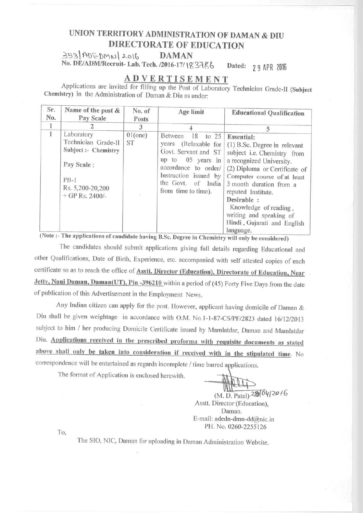# **UNION TERRITORY ADMINISTRATION OF DAMAN & DIU DIRECTORATE OF EDUCATION**

353 ADCDMN 2016 DAMAN **No. DE**/**ADM/Recruit**- **Lab. Tech** . /**2016-17**/ Jg 34r6 **Dated** : **2 9 APR 2016**

### **ADVERTISEMENT**

**Applications are invited for filling up the Post of Laboratory Technician Grade-11** (**Subject Chemistry**) **in the Administration of Daman** & **Diu as under:**

| Sr.<br>No.   | Name of the post &<br>Pay Scale                                                                                            | No. of<br>Posts         | Age limit                                                                                                                                                                                                                                                                                             | <b>Educational Qualification</b>                                                                                                                                                                                                                                                                                                            |
|--------------|----------------------------------------------------------------------------------------------------------------------------|-------------------------|-------------------------------------------------------------------------------------------------------------------------------------------------------------------------------------------------------------------------------------------------------------------------------------------------------|---------------------------------------------------------------------------------------------------------------------------------------------------------------------------------------------------------------------------------------------------------------------------------------------------------------------------------------------|
| 1            |                                                                                                                            | 3                       |                                                                                                                                                                                                                                                                                                       | $\sim$                                                                                                                                                                                                                                                                                                                                      |
| $\mathbf{I}$ | Laboratory<br>Technician Grade-II<br>Subject :- Chemistry<br>Pay Scale:<br>$PB-1$<br>Rs. 5,200-20,200<br>$+$ GP Rs. 2400/- | $01$ (one)<br><b>ST</b> | Between<br>18<br>to $25$<br>(Relaxable for<br>years<br>Govt. Servant and ST<br>05 years in<br>up to<br>accordance to order/<br>Instruction issued by<br>the Govt. of India<br>from time to time).<br>(Note :- The applications of candidate having B.Sc. Degree in Chemistry will only be considered) | <b>Essential:</b><br>(1) B.Sc. Degree in relevant<br>subject i.e. Chemistry from<br>a recognized University.<br>(2) Diploma or Certificate of<br>Computer course of at least<br>3 month duration from a<br>reputed Institute.<br>Desirable:<br>Knowledge of reading,<br>writing and speaking of<br>Hindi, Gujarati and English<br>language. |

gree in Chemistry will only be considered) The candidates should submit applications giving full details regarding Educational and other Qualifications, Date of Birth, Experience, etc. accompanied with self attested copies of each certificate so as to reach the office of Asstt. **Director** (**Education**), **Directorate of Education, Near** Jetty, Nani Daman, Daman(UT), Pin -396210 within a period of (45) Forty Five Days from the date of publication of this Advertisement in the Employment News.

Any Indian citizen can apply for the post. However, applicant having domicile of Daman & Diu shall be given weightage in accordance with O.M. No.1-1-87-CS/PF/2823 dated 16/12/2013 subject to him / her producing Domicile Certificate issued by Mamlatdar, Daman and Mamlatdar Diu. Applications received **in the prescribed proforma with requisite documents** as stated above **shall only be taken into consideration if received with in the stipulated** time. No correspondence will be entertained as regards incomplete / time barred applications.

The format of Application is enclosed herewith.

**(M. D. Patel**) tJ20 *1.6* Asstt. Director **(Education), Daman.** E-mail: adedn-dmn-dd@nic.in PH. No. 0260-2255126

'I'o

The SIO, **NIC, Daman for uploading in Daman Administration Website.**